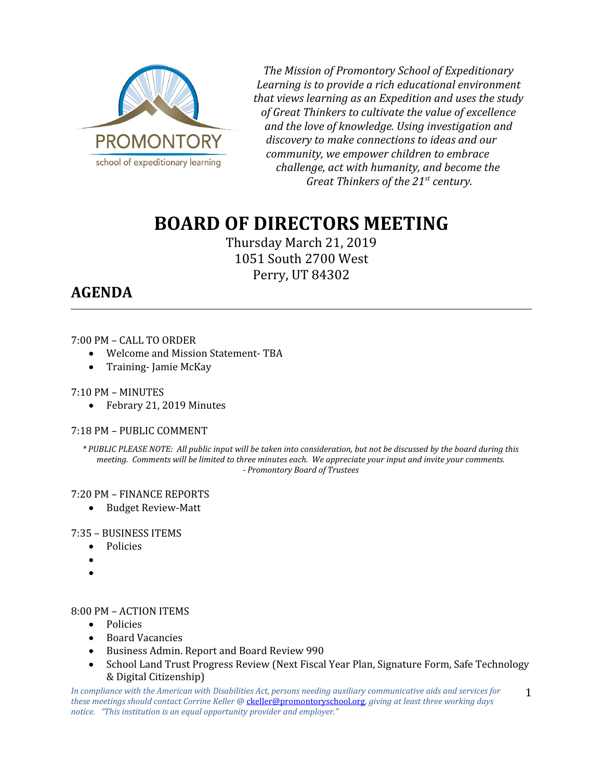

*The Mission of Promontory School of Expeditionary Learning is to provide a rich educational environment that views learning as an Expedition and uses the study of Great Thinkers to cultivate the value of excellence and the love of knowledge. Using investigation and discovery to make connections to ideas and our community, we empower children to embrace challenge, act with humanity, and become the Great Thinkers of the 21st century.*

# **BOARD OF DIRECTORS MEETING**

Thursday March 21, 2019 1051 South 2700 West Perry, UT 84302

## **AGENDA**

### 7:00 PM – CALL TO ORDER

- Welcome and Mission Statement- TBA
- Training-Jamie McKay

### 7:10 PM – MINUTES

• Febrary 21, 2019 Minutes

### 7:18 PM – PUBLIC COMMENT

*\* PUBLIC PLEASE NOTE: All public input will be taken into consideration, but not be discussed by the board during this meeting. Comments will be limited to three minutes each. We appreciate your input and invite your comments. - Promontory Board of Trustees*

### 7:20 PM – FINANCE REPORTS

• Budget Review-Matt

### 7:35 – BUSINESS ITEMS

- Policies
- $\bullet$
- $\bullet$

### 8:00 PM – ACTION ITEMS

- Policies
- Board Vacancies
- Business Admin. Report and Board Review 990
- School Land Trust Progress Review (Next Fiscal Year Plan, Signature Form, Safe Technology & Digital Citizenship)

*In compliance with the American with Disabilities Act, persons needing auxiliary communicative aids and services for these meetings should contact Corrine Keller @* [ckeller@promontoryschool.org](mailto:ckeller@promontoryschool.org)*, giving at least three working days notice. "This institution is an equal opportunity provider and employer."* 1